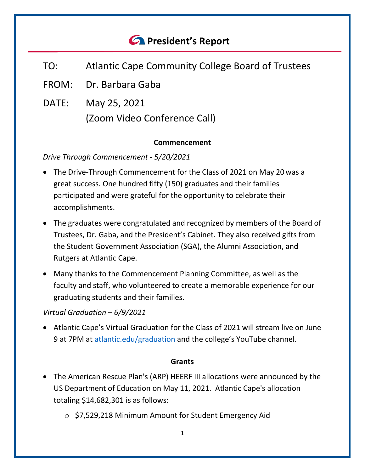# *<u>A</u>* President's Report

- TO: Atlantic Cape Community College Board of Trustees
- FROM: Dr. Barbara Gaba
- DATE: May 25, 2021 (Zoom Video Conference Call)

#### **Commencement**

*Drive Through Commencement - 5/20/2021*

- The Drive-Through Commencement for the Class of 2021 on May 20 was a great success. One hundred fifty (150) graduates and their families participated and were grateful for the opportunity to celebrate their accomplishments.
- The graduates were congratulated and recognized by members of the Board of Trustees, Dr. Gaba, and the President's Cabinet. They also received gifts from the Student Government Association (SGA), the Alumni Association, and Rutgers at Atlantic Cape.
- Many thanks to the Commencement Planning Committee, as well as the faculty and staff, who volunteered to create a memorable experience for our graduating students and their families.

#### *Virtual Graduation – 6/9/2021*

• Atlantic Cape's Virtual Graduation for the Class of 2021 will stream live on June 9 at 7PM at [atlantic.edu/graduation](http://www.atlantic.edu/student-life/graduation/index.php) and the college's YouTube channel.

#### **Grants**

- The American Rescue Plan's (ARP) HEERF III allocations were announced by the US Department of Education on May 11, 2021. Atlantic Cape's allocation totaling \$14,682,301 is as follows:
	- o \$7,529,218 Minimum Amount for Student Emergency Aid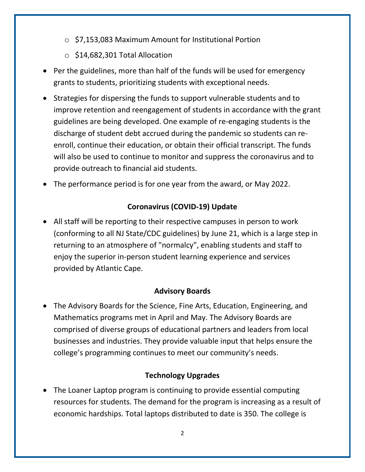- o \$7,153,083 Maximum Amount for Institutional Portion
- o \$14,682,301 Total Allocation
- Per the guidelines, more than half of the funds will be used for emergency grants to students, prioritizing students with exceptional needs.
- Strategies for dispersing the funds to support vulnerable students and to improve retention and reengagement of students in accordance with the grant guidelines are being developed. One example of re-engaging students is the discharge of student debt accrued during the pandemic so students can reenroll, continue their education, or obtain their official transcript. The funds will also be used to continue to monitor and suppress the coronavirus and to provide outreach to financial aid students.
- The performance period is for one year from the award, or May 2022.

## **Coronavirus (COVID-19) Update**

• All staff will be reporting to their respective campuses in person to work (conforming to all NJ State/CDC guidelines) by June 21, which is a large step in returning to an atmosphere of "normalcy", enabling students and staff to enjoy the superior in-person student learning experience and services provided by Atlantic Cape.

## **Advisory Boards**

• The Advisory Boards for the Science, Fine Arts, Education, Engineering, and Mathematics programs met in April and May. The Advisory Boards are comprised of diverse groups of educational partners and leaders from local businesses and industries. They provide valuable input that helps ensure the college's programming continues to meet our community's needs.

## **Technology Upgrades**

• The Loaner Laptop program is continuing to provide essential computing resources for students. The demand for the program is increasing as a result of economic hardships. Total laptops distributed to date is 350. The college is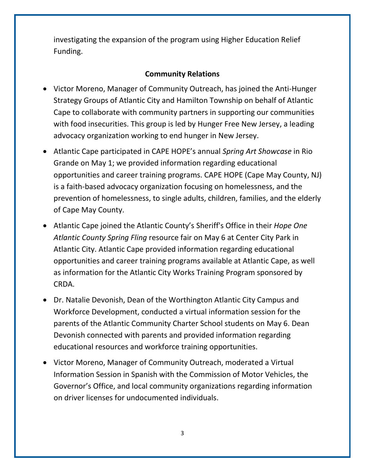investigating the expansion of the program using Higher Education Relief Funding.

## **Community Relations**

- Victor Moreno, Manager of Community Outreach, has joined the Anti-Hunger Strategy Groups of Atlantic City and Hamilton Township on behalf of Atlantic Cape to collaborate with community partners in supporting our communities with food insecurities. This group is led by Hunger Free New Jersey, a leading advocacy organization working to end hunger in New Jersey.
- Atlantic Cape participated in CAPE HOPE's annual *Spring Art Showcase* in Rio Grande on May 1; we provided information regarding educational opportunities and career training programs. CAPE HOPE (Cape May County, NJ) is a faith-based advocacy organization focusing on homelessness, and the prevention of homelessness, to single adults, children, families, and the elderly of Cape May County.
- Atlantic Cape joined the Atlantic County's Sheriff's Office in their *Hope One Atlantic County Spring Fling* resource fair on May 6 at Center City Park in Atlantic City. Atlantic Cape provided information regarding educational opportunities and career training programs available at Atlantic Cape, as well as information for the Atlantic City Works Training Program sponsored by CRDA.
- Dr. Natalie Devonish, Dean of the Worthington Atlantic City Campus and Workforce Development, conducted a virtual information session for the parents of the Atlantic Community Charter School students on May 6. Dean Devonish connected with parents and provided information regarding educational resources and workforce training opportunities.
- Victor Moreno, Manager of Community Outreach, moderated a Virtual Information Session in Spanish with the Commission of Motor Vehicles, the Governor's Office, and local community organizations regarding information on driver licenses for undocumented individuals.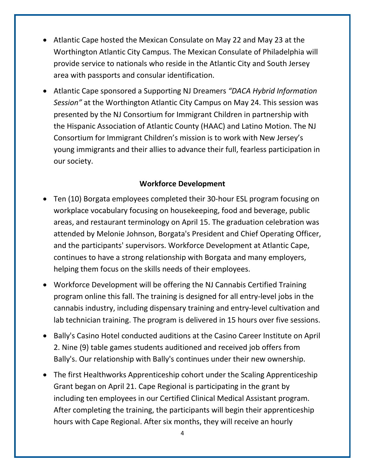- Atlantic Cape hosted the Mexican Consulate on May 22 and May 23 at the Worthington Atlantic City Campus. The Mexican Consulate of Philadelphia will provide service to nationals who reside in the Atlantic City and South Jersey area with passports and consular identification.
- Atlantic Cape sponsored a Supporting NJ Dreamers *"DACA Hybrid Information Session"* at the Worthington Atlantic City Campus on May 24. This session was presented by the NJ Consortium for Immigrant Children in partnership with the Hispanic Association of Atlantic County (HAAC) and Latino Motion. The NJ Consortium for Immigrant Children's mission is to work with New Jersey's young immigrants and their allies to advance their full, fearless participation in our society.

#### **Workforce Development**

- Ten (10) Borgata employees completed their 30-hour ESL program focusing on workplace vocabulary focusing on housekeeping, food and beverage, public areas, and restaurant terminology on April 15. The graduation celebration was attended by Melonie Johnson, Borgata's President and Chief Operating Officer, and the participants' supervisors. Workforce Development at Atlantic Cape, continues to have a strong relationship with Borgata and many employers, helping them focus on the skills needs of their employees.
- Workforce Development will be offering the NJ Cannabis Certified Training program online this fall. The training is designed for all entry-level jobs in the cannabis industry, including dispensary training and entry-level cultivation and lab technician training. The program is delivered in 15 hours over five sessions.
- Bally's Casino Hotel conducted auditions at the Casino Career Institute on April 2. Nine (9) table games students auditioned and received job offers from Bally's. Our relationship with Bally's continues under their new ownership.
- The first Healthworks Apprenticeship cohort under the Scaling Apprenticeship Grant began on April 21. Cape Regional is participating in the grant by including ten employees in our Certified Clinical Medical Assistant program. After completing the training, the participants will begin their apprenticeship hours with Cape Regional. After six months, they will receive an hourly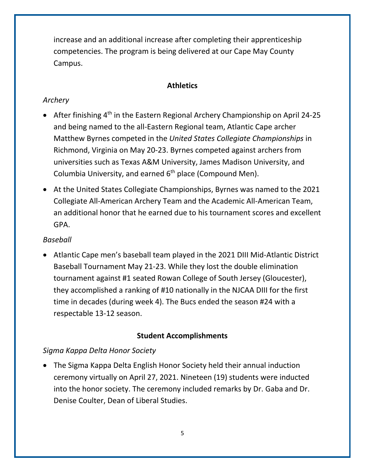increase and an additional increase after completing their apprenticeship competencies. The program is being delivered at our Cape May County Campus.

## **Athletics**

## *Archery*

- After finishing  $4<sup>th</sup>$  in the Eastern Regional Archery Championship on April 24-25 and being named to the all-Eastern Regional team, Atlantic Cape archer Matthew Byrnes competed in the *United States Collegiate Championships* in Richmond, Virginia on May 20-23. Byrnes competed against archers from universities such as Texas A&M University, James Madison University, and Columbia University, and earned  $6<sup>th</sup>$  place (Compound Men).
- At the United States Collegiate Championships, Byrnes was named to the 2021 Collegiate All-American Archery Team and the Academic All-American Team, an additional honor that he earned due to his tournament scores and excellent GPA.

## *Baseball*

• Atlantic Cape men's baseball team played in the 2021 DIII Mid-Atlantic District Baseball Tournament May 21-23. While they lost the double elimination tournament against #1 seated Rowan College of South Jersey (Gloucester), they accomplished a ranking of #10 nationally in the NJCAA DIII for the first time in decades (during week 4). The Bucs ended the season #24 with a respectable 13-12 season.

## **Student Accomplishments**

## *Sigma Kappa Delta Honor Society*

• The Sigma Kappa Delta English Honor Society held their annual induction ceremony virtually on April 27, 2021. Nineteen (19) students were inducted into the honor society. The ceremony included remarks by Dr. Gaba and Dr. Denise Coulter, Dean of Liberal Studies.